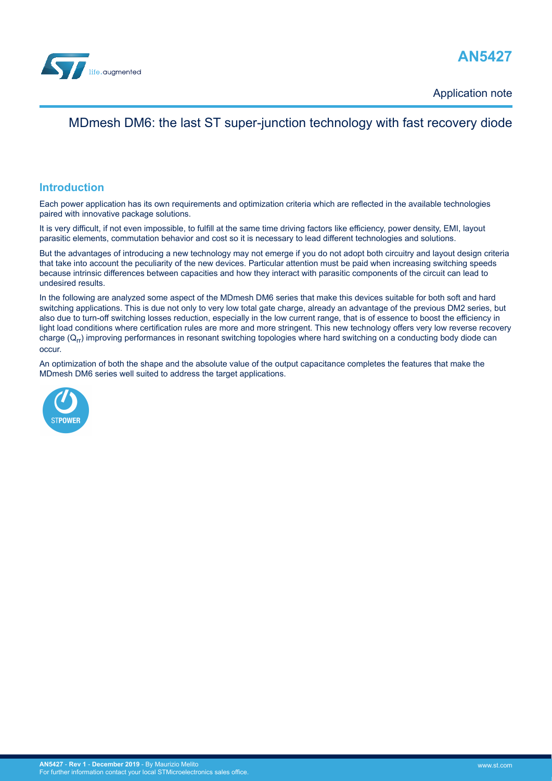



Application note

## MDmesh DM6: the last ST super-junction technology with fast recovery diode

## **Introduction**

Each power application has its own requirements and optimization criteria which are reflected in the available technologies paired with innovative package solutions.

It is very difficult, if not even impossible, to fulfill at the same time driving factors like efficiency, power density, EMI, layout parasitic elements, commutation behavior and cost so it is necessary to lead different technologies and solutions.

But the advantages of introducing a new technology may not emerge if you do not adopt both circuitry and layout design criteria that take into account the peculiarity of the new devices. Particular attention must be paid when increasing switching speeds because intrinsic differences between capacities and how they interact with parasitic components of the circuit can lead to undesired results.

In the following are analyzed some aspect of the MDmesh DM6 series that make this devices suitable for both soft and hard switching applications. This is due not only to very low total gate charge, already an advantage of the previous DM2 series, but also due to turn-off switching losses reduction, especially in the low current range, that is of essence to boost the efficiency in light load conditions where certification rules are more and more stringent. This new technology offers very low reverse recovery charge  $(Q_{rr})$  improving performances in resonant switching topologies where hard switching on a conducting body diode can occur.

An optimization of both the shape and the absolute value of the output capacitance completes the features that make the MDmesh DM6 series well suited to address the target applications.

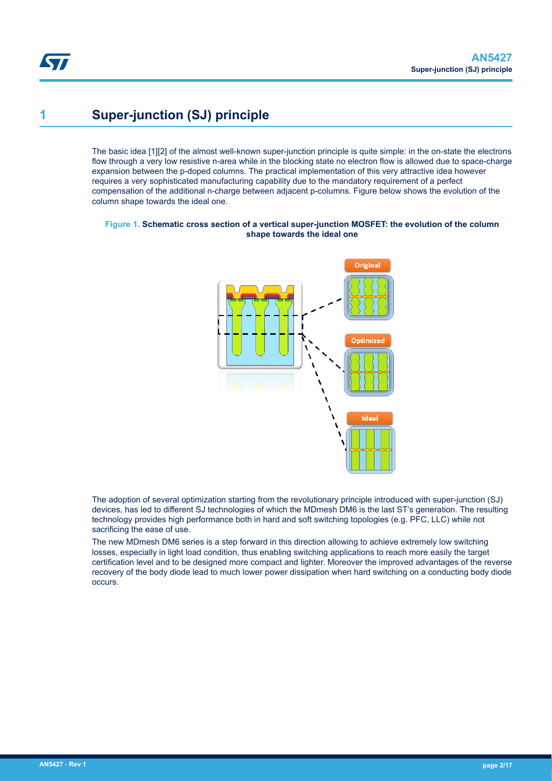# <span id="page-1-0"></span>**1 Super-junction (SJ) principle**

The basic idea [1][2] of the almost well-known super-junction principle is quite simple: in the on-state the electrons flow through a very low resistive n-area while in the blocking state no electron flow is allowed due to space-charge expansion between the p-doped columns. The practical implementation of this very attractive idea however requires a very sophisticated manufacturing capability due to the mandatory requirement of a perfect compensation of the additional n-charge between adjacent p-columns. Figure below shows the evolution of the column shape towards the ideal one.

#### **Figure 1. Schematic cross section of a vertical super-junction MOSFET: the evolution of the column shape towards the ideal one**



The adoption of several optimization starting from the revolutionary principle introduced with super-junction (SJ) devices, has led to different SJ technologies of which the MDmesh DM6 is the last ST's generation. The resulting technology provides high performance both in hard and soft switching topologies (e.g. PFC, LLC) while not sacrificing the ease of use.

The new MDmesh DM6 series is a step forward in this direction allowing to achieve extremely low switching losses, especially in light load condition, thus enabling switching applications to reach more easily the target certification level and to be designed more compact and lighter. Moreover the improved advantages of the reverse recovery of the body diode lead to much lower power dissipation when hard switching on a conducting body diode occurs.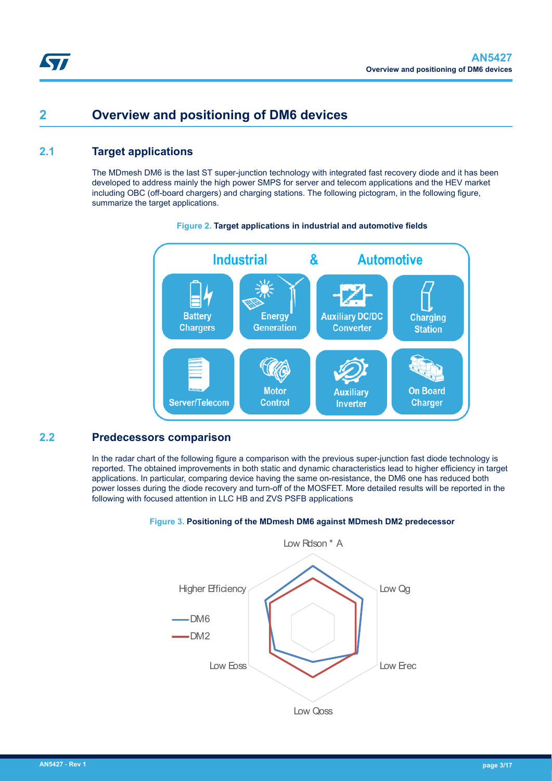# <span id="page-2-0"></span>**2 Overview and positioning of DM6 devices**

## **2.1 Target applications**

The MDmesh DM6 is the last ST super-junction technology with integrated fast recovery diode and it has been developed to address mainly the high power SMPS for server and telecom applications and the HEV market including OBC (off-board chargers) and charging stations. The following pictogram, in the following figure, summarize the target applications.



#### **Figure 2. Target applications in industrial and automotive fields**

## **2.2 Predecessors comparison**

In the radar chart of the following figure a comparison with the previous super-junction fast diode technology is reported. The obtained improvements in both static and dynamic characteristics lead to higher efficiency in target applications. In particular, comparing device having the same on-resistance, the DM6 one has reduced both power losses during the diode recovery and turn-off of the MOSFET. More detailed results will be reported in the following with focused attention in LLC HB and ZVS PSFB applications

#### **Figure 3. Positioning of the MDmesh DM6 against MDmesh DM2 predecessor**

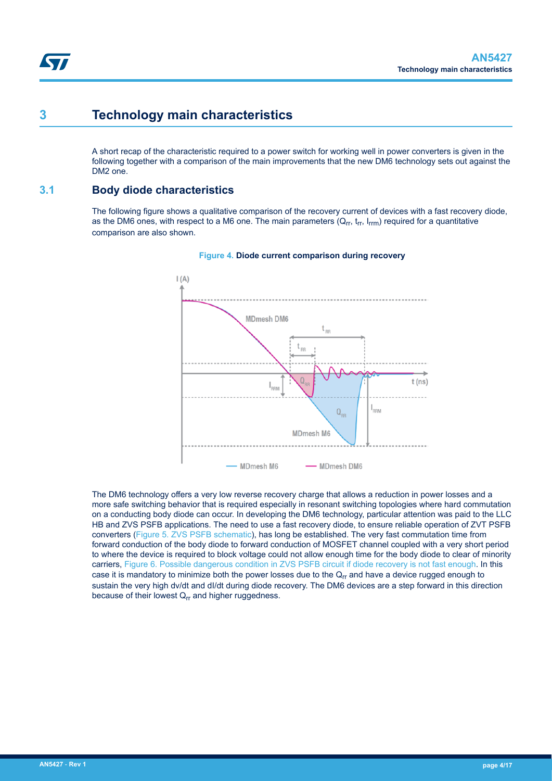# <span id="page-3-0"></span>**3 Technology main characteristics**

A short recap of the characteristic required to a power switch for working well in power converters is given in the following together with a comparison of the main improvements that the new DM6 technology sets out against the DM2 one.

## **3.1 Body diode characteristics**

The following figure shows a qualitative comparison of the recovery current of devices with a fast recovery diode, as the DM6 ones, with respect to a M6 one. The main parameters  $(Q_{rr}, t_{rr}, I_{rrm})$  required for a quantitative comparison are also shown.



#### **Figure 4. Diode current comparison during recovery**

The DM6 technology offers a very low reverse recovery charge that allows a reduction in power losses and a more safe switching behavior that is required especially in resonant switching topologies where hard commutation on a conducting body diode can occur. In developing the DM6 technology, particular attention was paid to the LLC HB and ZVS PSFB applications. The need to use a fast recovery diode, to ensure reliable operation of ZVT PSFB converters ([Figure 5. ZVS PSFB schematic](#page-4-0)), has long be established. The very fast commutation time from forward conduction of the body diode to forward conduction of MOSFET channel coupled with a very short period to where the device is required to block voltage could not allow enough time for the body diode to clear of minority carriers, [Figure 6. Possible dangerous condition in ZVS PSFB circuit if diode recovery is not fast enough](#page-4-0). In this case it is mandatory to minimize both the power losses due to the  $Q<sub>rr</sub>$  and have a device rugged enough to sustain the very high dv/dt and dI/dt during diode recovery. The DM6 devices are a step forward in this direction because of their lowest  $Q_{rr}$  and higher ruggedness.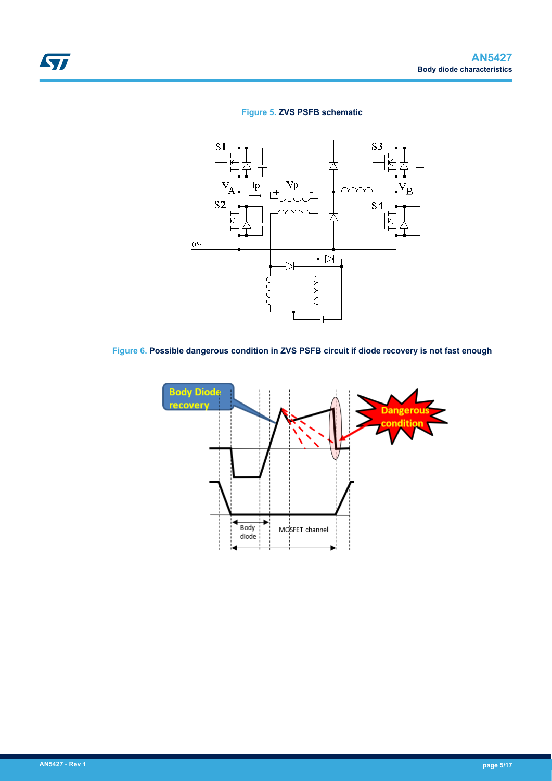## **Figure 5. ZVS PSFB schematic**



**Figure 6. Possible dangerous condition in ZVS PSFB circuit if diode recovery is not fast enough**



<span id="page-4-0"></span>ST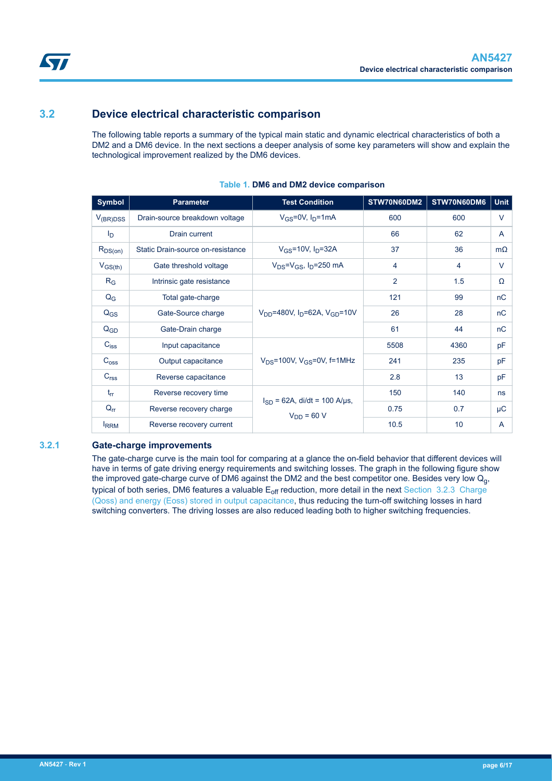## <span id="page-5-0"></span>**3.2 Device electrical characteristic comparison**

The following table reports a summary of the typical main static and dynamic electrical characteristics of both a DM2 and a DM6 device. In the next sections a deeper analysis of some key parameters will show and explain the technological improvement realized by the DM6 devices.

| <b>Symbol</b>    | <b>Parameter</b>                  | <b>Test Condition</b>                                     | STW70N60DM2    | STW70N60DM6     | <b>Unit</b> |
|------------------|-----------------------------------|-----------------------------------------------------------|----------------|-----------------|-------------|
| $V_{(BR)DSS}$    | Drain-source breakdown voltage    | $V_{GS} = 0V$ , $I_D = 1mA$                               | 600            | 600             | V           |
| I <sub>D</sub>   | Drain current                     |                                                           | 66             | 62              | A           |
| $R_{DS(on)}$     | Static Drain-source on-resistance | $V_{GS}$ =10V, $I_{D}$ =32A                               | 37             | 36              | $m\Omega$   |
| $V_{GS(th)}$     | Gate threshold voltage            | $V_{DS} = V_{GS}$ , I <sub>D</sub> =250 mA                | 4              | 4               | $\vee$      |
| $R_G$            | Intrinsic gate resistance         |                                                           | $\overline{2}$ | 1.5             | Ω           |
| $Q_{G}$          | Total gate-charge                 |                                                           | 121            | 99              | nC          |
| $Q_{GS}$         | Gate-Source charge                | $V_{DD}$ =480V, I <sub>D</sub> =62A, V <sub>GD</sub> =10V | 26             | 28              | nC          |
| $Q_{GD}$         | Gate-Drain charge                 |                                                           | 61             | 44              | nC          |
| $C_{iss}$        | Input capacitance                 |                                                           | 5508           | 4360            | pF          |
| $C_{\text{oss}}$ | Output capacitance                | $V_{DS}$ =100V, $V_{GS}$ =0V, f=1MHz                      | 241            | 235             | pF          |
| C <sub>rss</sub> | Reverse capacitance               |                                                           | 2.8            | 13              | pF          |
| $t_{rr}$         | Reverse recovery time             |                                                           | 150            | 140             | ns          |
| $Q_{rr}$         | Reverse recovery charge           | $I_{SD}$ = 62A, di/dt = 100 A/µs,<br>$V_{DD}$ = 60 V      | 0.75           | 0.7             | $\mu$ C     |
| <b>IRRM</b>      | Reverse recovery current          |                                                           | 10.5           | 10 <sup>°</sup> | A           |

#### **Table 1. DM6 and DM2 device comparison**

#### **3.2.1 Gate-charge improvements**

The gate-charge curve is the main tool for comparing at a glance the on-field behavior that different devices will have in terms of gate driving energy requirements and switching losses. The graph in the following figure show the improved gate-charge curve of DM6 against the DM2 and the best competitor one. Besides very low  $Q<sub>0</sub>$ , typical of both series, DM6 features a valuable  $E_{off}$  reduction, more detail in the next [Section 3.2.3 Charge](#page-6-0) [\(Qoss\) and energy \(Eoss\) stored in output capacitance](#page-6-0), thus reducing the turn-off switching losses in hard switching converters. The driving losses are also reduced leading both to higher switching frequencies.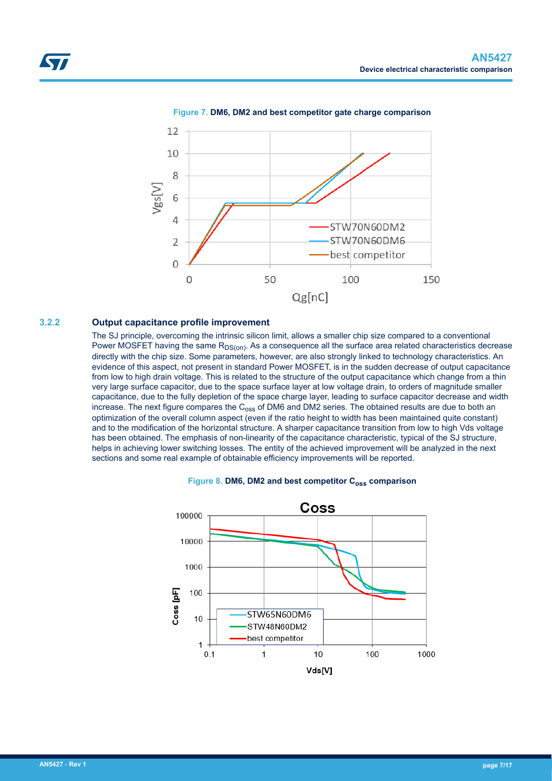<span id="page-6-0"></span>

#### **Figure 7. DM6, DM2 and best competitor gate charge comparison**

#### **3.2.2 Output capacitance profile improvement**

The SJ principle, overcoming the intrinsic silicon limit, allows a smaller chip size compared to a conventional Power MOSFET having the same R<sub>DS(on)</sub>. As a consequence all the surface area related characteristics decrease directly with the chip size. Some parameters, however, are also strongly linked to technology characteristics. An evidence of this aspect, not present in standard Power MOSFET, is in the sudden decrease of output capacitance from low to high drain voltage. This is related to the structure of the output capacitance which change from a thin very large surface capacitor, due to the space surface layer at low voltage drain, to orders of magnitude smaller capacitance, due to the fully depletion of the space charge layer, leading to surface capacitor decrease and width increase. The next figure compares the  $C_{\text{oss}}$  of DM6 and DM2 series. The obtained results are due to both an optimization of the overall column aspect (even if the ratio height to width has been maintained quite constant) and to the modification of the horizontal structure. A sharper capacitance transition from low to high Vds voltage has been obtained. The emphasis of non-linearity of the capacitance characteristic, typical of the SJ structure, helps in achieving lower switching losses. The entity of the achieved improvement will be analyzed in the next sections and some real example of obtainable efficiency improvements will be reported.



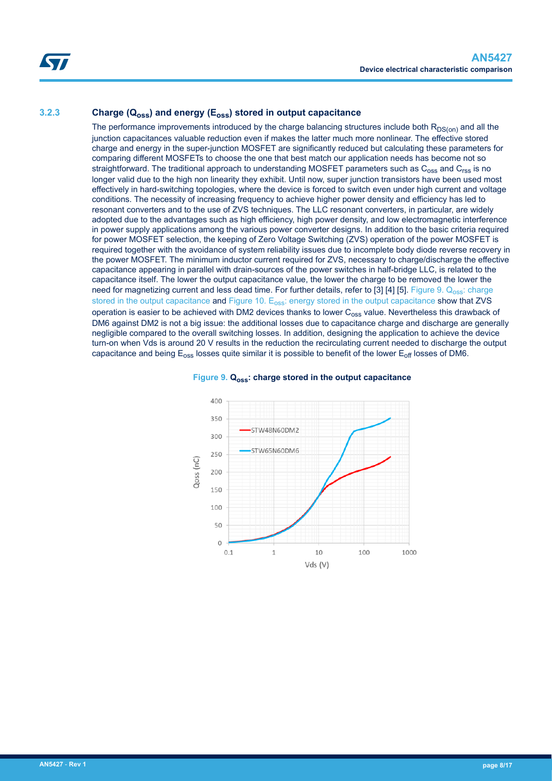## **3.2.3 Charge (Qoss) and energy (Eoss) stored in output capacitance**

The performance improvements introduced by the charge balancing structures include both  $R_{DS(on)}$  and all the junction capacitances valuable reduction even if makes the latter much more nonlinear. The effective stored charge and energy in the super-junction MOSFET are significantly reduced but calculating these parameters for comparing different MOSFETs to choose the one that best match our application needs has become not so straightforward. The traditional approach to understanding MOSFET parameters such as  $C_{\text{oss}}$  and  $C_{\text{rss}}$  is no longer valid due to the high non linearity they exhibit. Until now, super junction transistors have been used most effectively in hard-switching topologies, where the device is forced to switch even under high current and voltage conditions. The necessity of increasing frequency to achieve higher power density and efficiency has led to resonant converters and to the use of ZVS techniques. The LLC resonant converters, in particular, are widely adopted due to the advantages such as high efficiency, high power density, and low electromagnetic interference in power supply applications among the various power converter designs. In addition to the basic criteria required for power MOSFET selection, the keeping of Zero Voltage Switching (ZVS) operation of the power MOSFET is required together with the avoidance of system reliability issues due to incomplete body diode reverse recovery in the power MOSFET. The minimum inductor current required for ZVS, necessary to charge/discharge the effective capacitance appearing in parallel with drain-sources of the power switches in half-bridge LLC, is related to the capacitance itself. The lower the output capacitance value, the lower the charge to be removed the lower the need for magnetizing current and less dead time. For further details, refer to [3] [4] [5]. Figure 9. Q<sub>oss</sub>: charge stored in the output capacitance and Figure 10. E<sub>oss</sub>[: energy stored in the output capacitance](#page-8-0) show that ZVS operation is easier to be achieved with DM2 devices thanks to lower  $C_{0ss}$  value. Nevertheless this drawback of DM6 against DM2 is not a big issue: the additional losses due to capacitance charge and discharge are generally negligible compared to the overall switching losses. In addition, designing the application to achieve the device turn-on when Vds is around 20 V results in the reduction the recirculating current needed to discharge the output capacitance and being  $E_{\text{oss}}$  losses quite similar it is possible to benefit of the lower  $E_{\text{off}}$  losses of DM6.



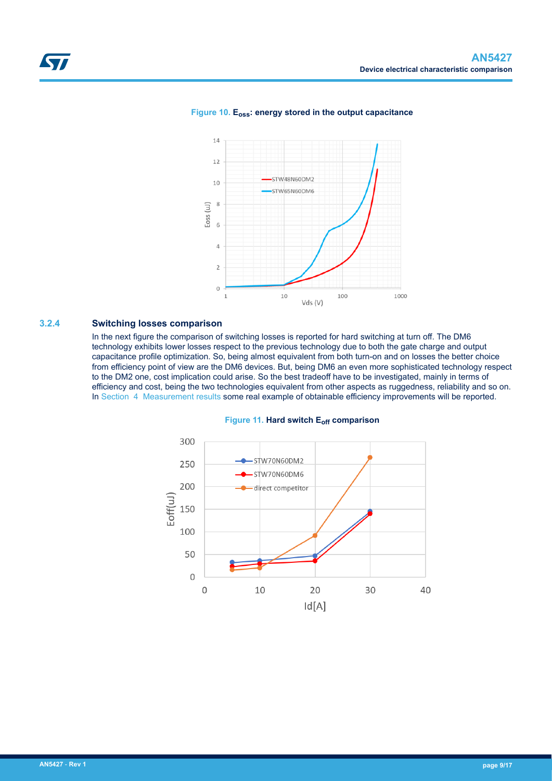

#### <span id="page-8-0"></span>**Figure 10. Eoss: energy stored in the output capacitance**

#### **3.2.4 Switching losses comparison**

In the next figure the comparison of switching losses is reported for hard switching at turn off. The DM6 technology exhibits lower losses respect to the previous technology due to both the gate charge and output capacitance profile optimization. So, being almost equivalent from both turn-on and on losses the better choice from efficiency point of view are the DM6 devices. But, being DM6 an even more sophisticated technology respect to the DM2 one, cost implication could arise. So the best tradeoff have to be investigated, mainly in terms of efficiency and cost, being the two technologies equivalent from other aspects as ruggedness, reliability and so on. In [Section 4 Measurement results](#page-9-0) some real example of obtainable efficiency improvements will be reported.

#### **Figure 11. Hard switch Eoff comparison**

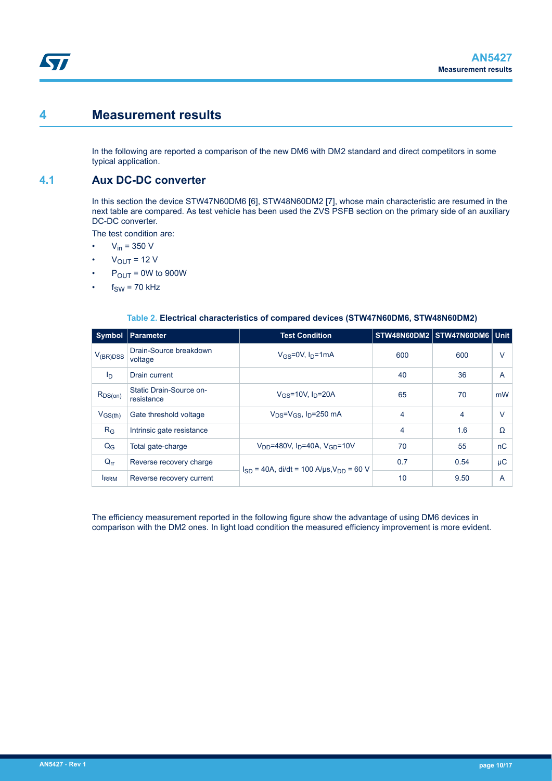## <span id="page-9-0"></span>**4 Measurement results**

In the following are reported a comparison of the new DM6 with DM2 standard and direct competitors in some typical application.

## **4.1 Aux DC-DC converter**

In this section the device STW47N60DM6 [6], STW48N60DM2 [7], whose main characteristic are resumed in the next table are compared. As test vehicle has been used the ZVS PSFB section on the primary side of an auxiliary DC-DC converter.

The test condition are:

- $V_{in} = 350 V$
- $V_{\text{OUT}}$  = 12 V
- $P_{OUT} = 0W$  to 900W
- $f_{SW}$  = 70 kHz

| <b>Symbol</b>  | <b>Parameter</b>                                             | <b>Test Condition</b>                                     |     | STW48N60DM2 STW47N60DM6 Unit |        |
|----------------|--------------------------------------------------------------|-----------------------------------------------------------|-----|------------------------------|--------|
| $V_{(BR)DSS}$  | Drain-Source breakdown<br>voltage                            | $V_{GS}$ =0V, $I_D$ =1mA                                  | 600 | 600                          | V      |
| I <sub>D</sub> | Drain current                                                |                                                           | 40  | 36                           | A      |
| $R_{DS(on)}$   | Static Drain-Source on-<br>resistance                        | $V_{GS}$ =10V, $I_D$ =20A                                 | 65  | 70                           | mW     |
| $V_{GS(th)}$   | $V_{DS} = V_{GS}$ , $I_D = 250$ mA<br>Gate threshold voltage |                                                           | 4   | 4                            | $\vee$ |
| $R_G$          | Intrinsic gate resistance                                    |                                                           | 4   | 1.6                          | Ω      |
| $Q_{G}$        | Total gate-charge                                            | $V_{DD}$ =480V, I <sub>D</sub> =40A, V <sub>GD</sub> =10V | 70  | 55                           | nC     |
| $Q_{rr}$       | Reverse recovery charge                                      | $I_{SD}$ = 40A, di/dt = 100 A/us, $V_{DD}$ = 60 V         | 0.7 | 0.54                         | μC     |
| <b>IRRM</b>    | Reverse recovery current                                     |                                                           | 10  | 9.50                         | A      |

#### **Table 2. Electrical characteristics of compared devices (STW47N60DM6, STW48N60DM2)**

The efficiency measurement reported in the following figure show the advantage of using DM6 devices in comparison with the DM2 ones. In light load condition the measured efficiency improvement is more evident.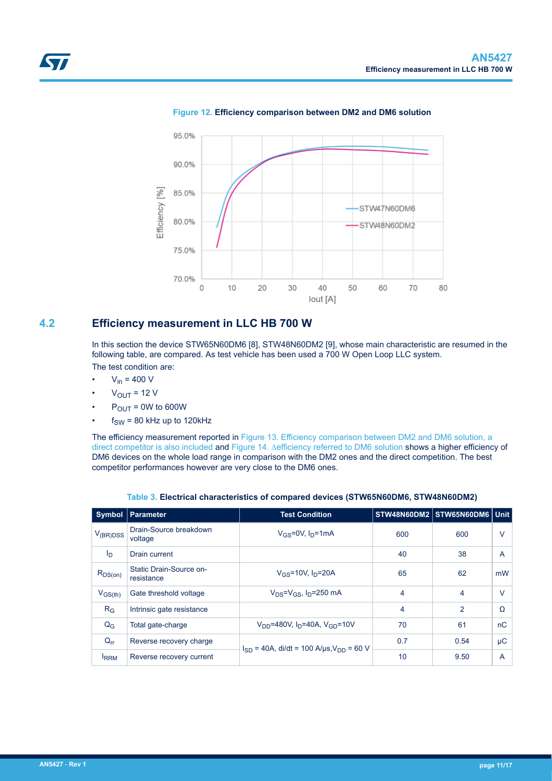<span id="page-10-0"></span>

**Figure 12. Efficiency comparison between DM2 and DM6 solution**

## **4.2 Efficiency measurement in LLC HB 700 W**

In this section the device STW65N60DM6 [8], STW48N60DM2 [9], whose main characteristic are resumed in the following table, are compared. As test vehicle has been used a 700 W Open Loop LLC system. The test condition are:

- $V_{in} = 400 V$
- $V_{OUIT}$  = 12 V
- $P_{OUT} = 0W$  to 600W
- $f_{SW}$  = 80 kHz up to 120kHz

The efficiency measurement reported in [Figure 13. Efficiency comparison between DM2 and DM6 solution, a](#page-11-0) [direct competitor is also included](#page-11-0) and [Figure 14. ∆efficiency referred to DM6 solution](#page-11-0) shows a higher efficiency of DM6 devices on the whole load range in comparison with the DM2 ones and the direct competition. The best competitor performances however are very close to the DM6 ones.

| <b>Symbol</b>  | <b>Parameter</b>                                                               | <b>Test Condition</b>                             |     | STW48N60DM2 STW65N60DM6 Unit |          |
|----------------|--------------------------------------------------------------------------------|---------------------------------------------------|-----|------------------------------|----------|
| $V_{(BR)DSS}$  | Drain-Source breakdown<br>voltage                                              | $V_{GS}$ =0V, $I_D$ =1mA                          | 600 | 600                          | v        |
| $I_{\text{D}}$ | Drain current                                                                  |                                                   | 40  | 38                           | A        |
| $R_{DS(on)}$   | Static Drain-Source on-<br>resistance                                          | $V$ <sub>GS</sub> =10V, $ID$ =20A                 | 65  | 62                           | mW       |
| $V_{GS(th)}$   | Gate threshold voltage                                                         | $V_{DS} = V_{GS}$ , $I_D = 250$ mA                | 4   | 4                            | $\vee$   |
| $R_G$          | Intrinsic gate resistance                                                      |                                                   | 4   | 2                            | $\Omega$ |
| $Q_G$          | $V_{DD}$ =480V, I <sub>D</sub> =40A, V <sub>GD</sub> =10V<br>Total gate-charge |                                                   | 70  | 61                           | nC       |
| $Q_{rr}$       | Reverse recovery charge                                                        | $I_{SD}$ = 40A, di/dt = 100 A/µs, $V_{DD}$ = 60 V | 0.7 | 0.54                         | $\mu$ C  |
| <b>IRRM</b>    | Reverse recovery current                                                       |                                                   | 10  | 9.50                         | A        |

**Table 3. Electrical characteristics of compared devices (STW65N60DM6, STW48N60DM2)**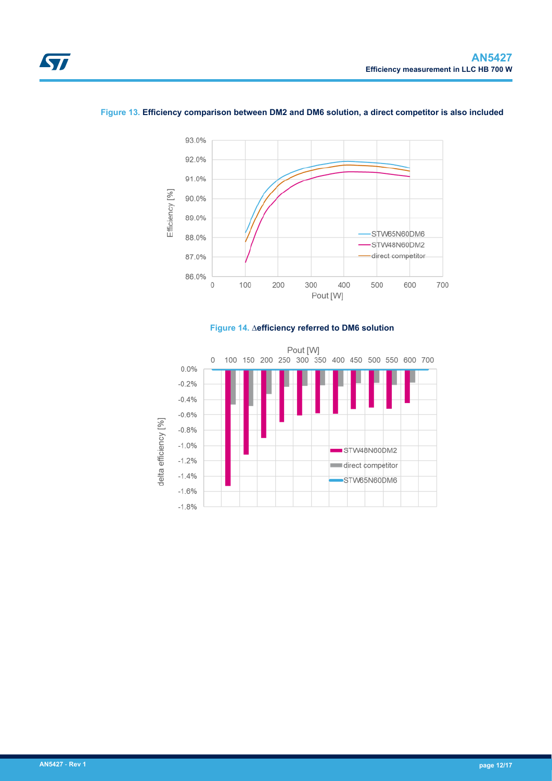<span id="page-11-0"></span>



#### **Figure 13. Efficiency comparison between DM2 and DM6 solution, a direct competitor is also included**



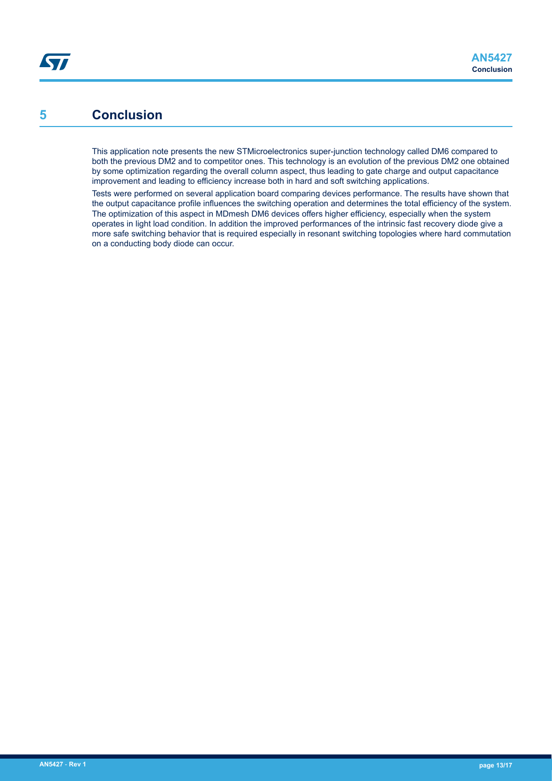# <span id="page-12-0"></span>**5 Conclusion**

This application note presents the new STMicroelectronics super-junction technology called DM6 compared to both the previous DM2 and to competitor ones. This technology is an evolution of the previous DM2 one obtained by some optimization regarding the overall column aspect, thus leading to gate charge and output capacitance improvement and leading to efficiency increase both in hard and soft switching applications.

Tests were performed on several application board comparing devices performance. The results have shown that the output capacitance profile influences the switching operation and determines the total efficiency of the system. The optimization of this aspect in MDmesh DM6 devices offers higher efficiency, especially when the system operates in light load condition. In addition the improved performances of the intrinsic fast recovery diode give a more safe switching behavior that is required especially in resonant switching topologies where hard commutation on a conducting body diode can occur.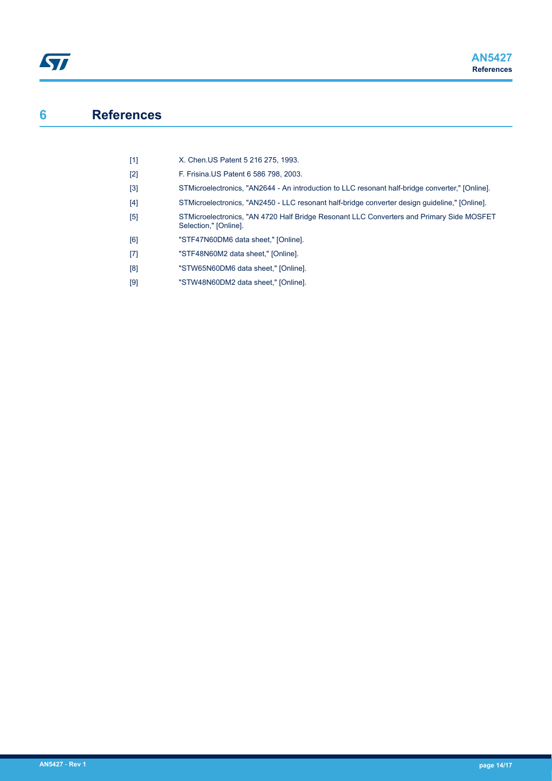# <span id="page-13-0"></span>**6 References**

| [1] | X. Chen US Patent 5 216 275, 1993. |  |
|-----|------------------------------------|--|
|     |                                    |  |

- [2] F. Frisina.US Patent 6 586 798, 2003.
- [3] STMicroelectronics, "AN2644 An introduction to LLC resonant half-bridge converter," [Online].
- [4] STMicroelectronics, "AN2450 LLC resonant half-bridge converter design guideline," [Online].
- [5] STMicroelectronics, "AN 4720 Half Bridge Resonant LLC Converters and Primary Side MOSFET Selection," [Online].
- [6] "STF47N60DM6 data sheet," [Online].
- [7] "STF48N60M2 data sheet," [Online].
- [8] "STW65N60DM6 data sheet," [Online].
- [9] "STW48N60DM2 data sheet," [Online].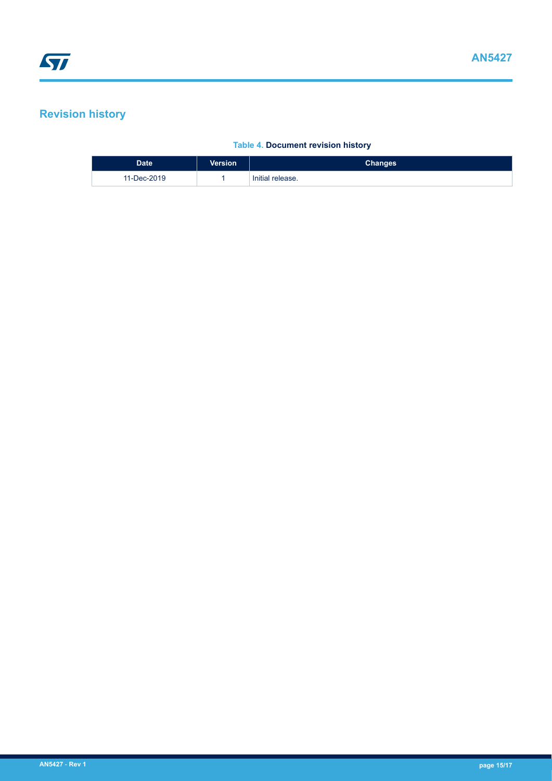# <span id="page-14-0"></span>**Revision history**

## **Table 4. Document revision history**

| Date <sup>1</sup> | <b>Version</b> | <b>Changes</b>   |
|-------------------|----------------|------------------|
| 11-Dec-2019       |                | Initial release. |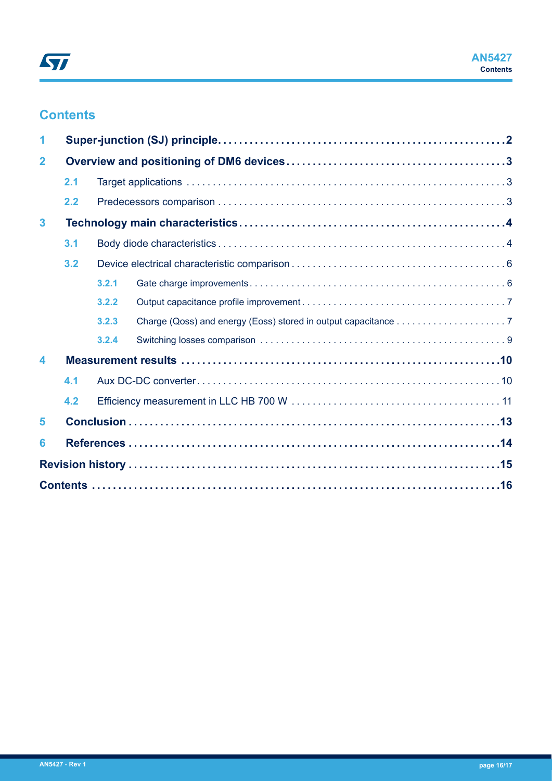# **Contents**

| 1                       |     |       |  |  |
|-------------------------|-----|-------|--|--|
| $\overline{\mathbf{2}}$ |     |       |  |  |
|                         | 2.1 |       |  |  |
|                         | 2.2 |       |  |  |
| $\overline{\mathbf{3}}$ |     |       |  |  |
|                         | 3.1 |       |  |  |
|                         | 3.2 |       |  |  |
|                         |     | 3.2.1 |  |  |
|                         |     | 3.2.2 |  |  |
|                         |     | 3.2.3 |  |  |
|                         |     | 3.2.4 |  |  |
| 4                       |     |       |  |  |
|                         | 4.1 |       |  |  |
|                         | 4.2 |       |  |  |
| 5                       |     |       |  |  |
| 6                       |     |       |  |  |
|                         |     |       |  |  |
|                         |     |       |  |  |